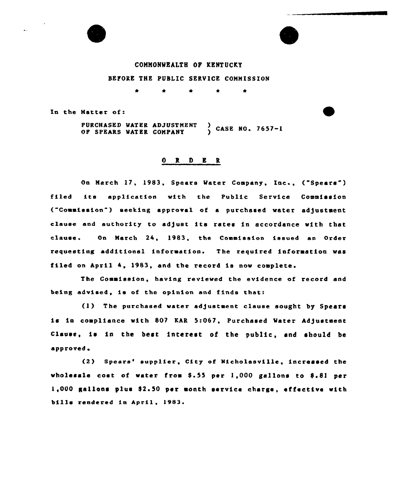

# COMMONWEALTH OF KENTUCKY BEFORE THE PUBLIC SERVICE COMMISSION

In the Matter of:

PURCHASED WATER ADJUSTMENT  $\frac{5}{2}$  CASE NO. 7657-1 OF SPEARS WATER COMPANY

#### OR. D E R

On March 17, 1983, Spears Water Company, Inc., ("Spears") filed its application with the Public Service Commission ("Counission") seeking approval of a purchased water adjustment clause and authority to adjust its rates in accordance with that clause. On March 24, 1983, the Commission issued an Order requesting additional information. The required information was filed on April 4, 1983, and the record is now complete.

The Commission, having reviewed the evidence of record and being advised, is of the opinion and finds that:

(1) The purchased water adjustment clause sought by Spears is in compliance with 807 KAR 5:067, Purchased Water Adjustment Clause, is in the best interest of the public, and should be approved.

(2) Spears' supplier, City of Nicholasville, incressed the wholesale cost of water from \$.55 per 1,000 gallons to  $8.81$  per 1,000 gallons plus \$2.50 per month service charge, effective with bills rendered in April, 1983.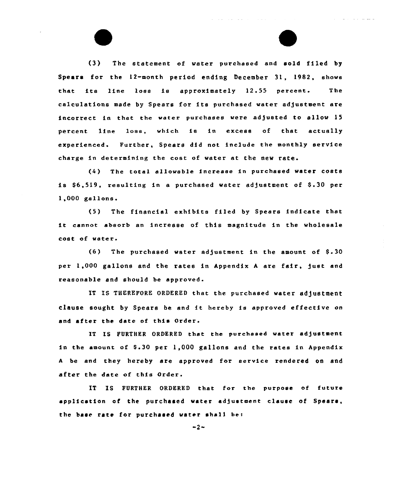(3) The statement of water purchased end sold filed by Spears for the 12-month period ending December 31, 1982, shows that its line loss is approximately 12.55 percent. The calculations made by Spears for its purchased water adjustment are incorrect in that the water purchases were adjusted to allow 15 percent line loss, which is in excess of that actually experienced. Further, Spears did not include the monthly service charge in determining the cost of water at the new rate.

 $\blacktriangle$ 

(4 ) The total alloweble increase in purchased water costs is \$6,519, resulting in a purchased water adjustment of \$.30 per  $1,000$  gallons.

 $(5)$ The financial exhibits filed by Spears indicate that it cannot absorb an increase of this magnitude in the wholesale cost of water

 $(6)$  The purchased water adjustment in the amount of  $$.30$ per 1,000 gallons and the rates in Appendix <sup>A</sup> are fair, just and reasonable end should be approved.

IT IS THEREFORE ORDERED that the purchased water adjustment clause sought by Spears be and it hereby is approved effective on and after the date of this Order.

IT IS FURTHER ORDERED that the purchased water adjustment in the amount of \$.30 per  $1,000$  gallons and the rates in Appendix <sup>A</sup> be and they hereby are approved for service rendered on and after the date of this Order.

IT IS FURTHER ORDERED that for the purpose of future application of the purchased water adjustment clause of Spears, the base rate for purchased water shall be:

 $-2-$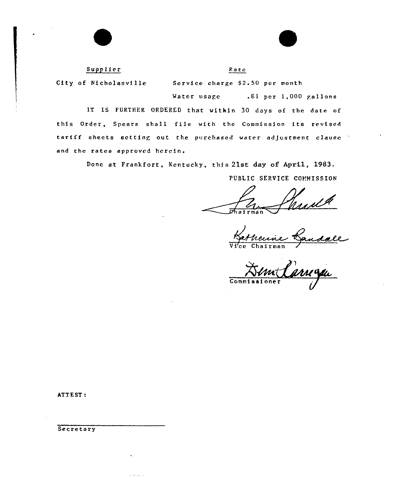# Supplier

Pa te

City of Nicholasville Service charge S2. 50 per month

Mater usage .81 per 1,000 gallons

IT IS FURTHER ORDERED that witkin 30 days of the date of this Order, Spears shall file with the Commission its revised tariff sheets setting out the purchased water adJustment clause and the rates approved herein.

Done at Frankfort, Kentucky, this 21st day of April, 1983.

PUBLIC SERVICE COMMISSION

Chairman

Gandale

Vi'ce Chairman

<u>5 yours</u> Commissic

ATTEST:

Secretary